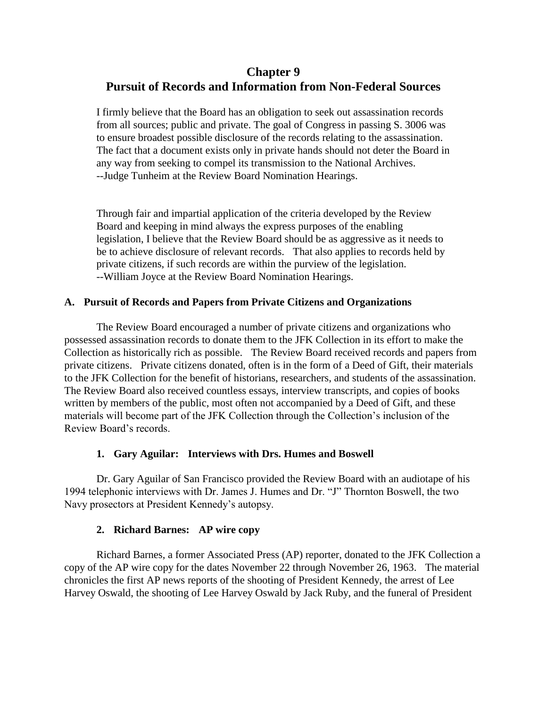# **Chapter 9 Pursuit of Records and Information from Non-Federal Sources**

I firmly believe that the Board has an obligation to seek out assassination records from all sources; public and private. The goal of Congress in passing S. 3006 was to ensure broadest possible disclosure of the records relating to the assassination. The fact that a document exists only in private hands should not deter the Board in any way from seeking to compel its transmission to the National Archives. --Judge Tunheim at the Review Board Nomination Hearings.

Through fair and impartial application of the criteria developed by the Review Board and keeping in mind always the express purposes of the enabling legislation, I believe that the Review Board should be as aggressive as it needs to be to achieve disclosure of relevant records. That also applies to records held by private citizens, if such records are within the purview of the legislation. --William Joyce at the Review Board Nomination Hearings.

# **A. Pursuit of Records and Papers from Private Citizens and Organizations**

The Review Board encouraged a number of private citizens and organizations who possessed assassination records to donate them to the JFK Collection in its effort to make the Collection as historically rich as possible. The Review Board received records and papers from private citizens. Private citizens donated, often is in the form of a Deed of Gift, their materials to the JFK Collection for the benefit of historians, researchers, and students of the assassination. The Review Board also received countless essays, interview transcripts, and copies of books written by members of the public, most often not accompanied by a Deed of Gift, and these materials will become part of the JFK Collection through the Collection's inclusion of the Review Board's records.

# **1. Gary Aguilar: Interviews with Drs. Humes and Boswell**

Dr. Gary Aguilar of San Francisco provided the Review Board with an audiotape of his 1994 telephonic interviews with Dr. James J. Humes and Dr. "J" Thornton Boswell, the two Navy prosectors at President Kennedy's autopsy.

# **2. Richard Barnes: AP wire copy**

Richard Barnes, a former Associated Press (AP) reporter, donated to the JFK Collection a copy of the AP wire copy for the dates November 22 through November 26, 1963. The material chronicles the first AP news reports of the shooting of President Kennedy, the arrest of Lee Harvey Oswald, the shooting of Lee Harvey Oswald by Jack Ruby, and the funeral of President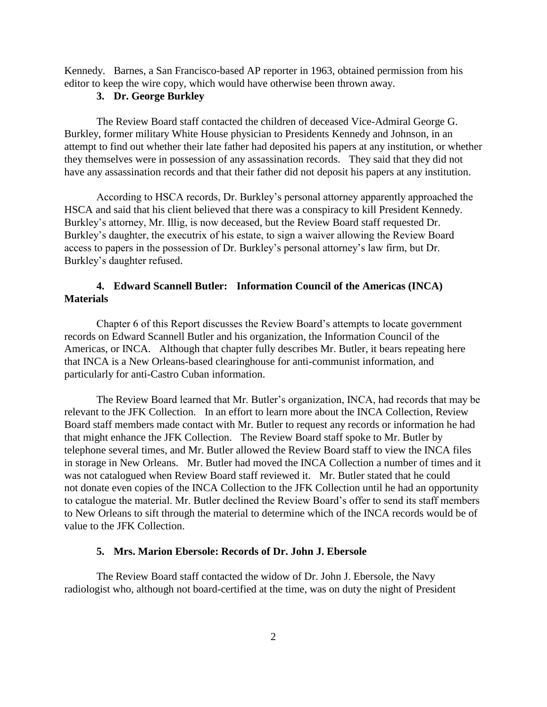Kennedy. Barnes, a San Francisco-based AP reporter in 1963, obtained permission from his editor to keep the wire copy, which would have otherwise been thrown away.

# **3. Dr. George Burkley**

The Review Board staff contacted the children of deceased Vice-Admiral George G. Burkley, former military White House physician to Presidents Kennedy and Johnson, in an attempt to find out whether their late father had deposited his papers at any institution, or whether they themselves were in possession of any assassination records. They said that they did not have any assassination records and that their father did not deposit his papers at any institution.

According to HSCA records, Dr. Burkley's personal attorney apparently approached the HSCA and said that his client believed that there was a conspiracy to kill President Kennedy. Burkley's attorney, Mr. Illig, is now deceased, but the Review Board staff requested Dr. Burkley's daughter, the executrix of his estate, to sign a waiver allowing the Review Board access to papers in the possession of Dr. Burkley's personal attorney's law firm, but Dr. Burkley's daughter refused.

# **4. Edward Scannell Butler: Information Council of the Americas (INCA) Materials**

Chapter 6 of this Report discusses the Review Board's attempts to locate government records on Edward Scannell Butler and his organization, the Information Council of the Americas, or INCA. Although that chapter fully describes Mr. Butler, it bears repeating here that INCA is a New Orleans-based clearinghouse for anti-communist information, and particularly for anti-Castro Cuban information.

The Review Board learned that Mr. Butler's organization, INCA, had records that may be relevant to the JFK Collection. In an effort to learn more about the INCA Collection, Review Board staff members made contact with Mr. Butler to request any records or information he had that might enhance the JFK Collection. The Review Board staff spoke to Mr. Butler by telephone several times, and Mr. Butler allowed the Review Board staff to view the INCA files in storage in New Orleans. Mr. Butler had moved the INCA Collection a number of times and it was not catalogued when Review Board staff reviewed it. Mr. Butler stated that he could not donate even copies of the INCA Collection to the JFK Collection until he had an opportunity to catalogue the material. Mr. Butler declined the Review Board's offer to send its staff members to New Orleans to sift through the material to determine which of the INCA records would be of value to the JFK Collection.

#### **5. Mrs. Marion Ebersole: Records of Dr. John J. Ebersole**

The Review Board staff contacted the widow of Dr. John J. Ebersole, the Navy radiologist who, although not board-certified at the time, was on duty the night of President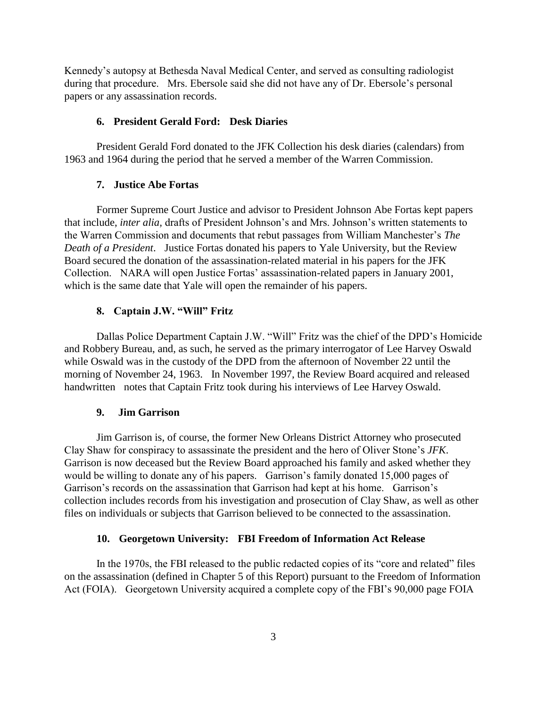Kennedy's autopsy at Bethesda Naval Medical Center, and served as consulting radiologist during that procedure. Mrs. Ebersole said she did not have any of Dr. Ebersole's personal papers or any assassination records.

#### **6. President Gerald Ford: Desk Diaries**

President Gerald Ford donated to the JFK Collection his desk diaries (calendars) from 1963 and 1964 during the period that he served a member of the Warren Commission.

#### **7. Justice Abe Fortas**

Former Supreme Court Justice and advisor to President Johnson Abe Fortas kept papers that include, *inter alia,* drafts of President Johnson's and Mrs. Johnson's written statements to the Warren Commission and documents that rebut passages from William Manchester's *The Death of a President*. Justice Fortas donated his papers to Yale University, but the Review Board secured the donation of the assassination-related material in his papers for the JFK Collection. NARA will open Justice Fortas' assassination-related papers in January 2001, which is the same date that Yale will open the remainder of his papers.

### **8. Captain J.W. "Will" Fritz**

Dallas Police Department Captain J.W. "Will" Fritz was the chief of the DPD's Homicide and Robbery Bureau, and, as such, he served as the primary interrogator of Lee Harvey Oswald while Oswald was in the custody of the DPD from the afternoon of November 22 until the morning of November 24, 1963. In November 1997, the Review Board acquired and released handwritten notes that Captain Fritz took during his interviews of Lee Harvey Oswald.

# **9. Jim Garrison**

Jim Garrison is, of course, the former New Orleans District Attorney who prosecuted Clay Shaw for conspiracy to assassinate the president and the hero of Oliver Stone's *JFK*. Garrison is now deceased but the Review Board approached his family and asked whether they would be willing to donate any of his papers. Garrison's family donated 15,000 pages of Garrison's records on the assassination that Garrison had kept at his home. Garrison's collection includes records from his investigation and prosecution of Clay Shaw, as well as other files on individuals or subjects that Garrison believed to be connected to the assassination.

#### **10. Georgetown University: FBI Freedom of Information Act Release**

In the 1970s, the FBI released to the public redacted copies of its "core and related" files on the assassination (defined in Chapter 5 of this Report) pursuant to the Freedom of Information Act (FOIA). Georgetown University acquired a complete copy of the FBI's 90,000 page FOIA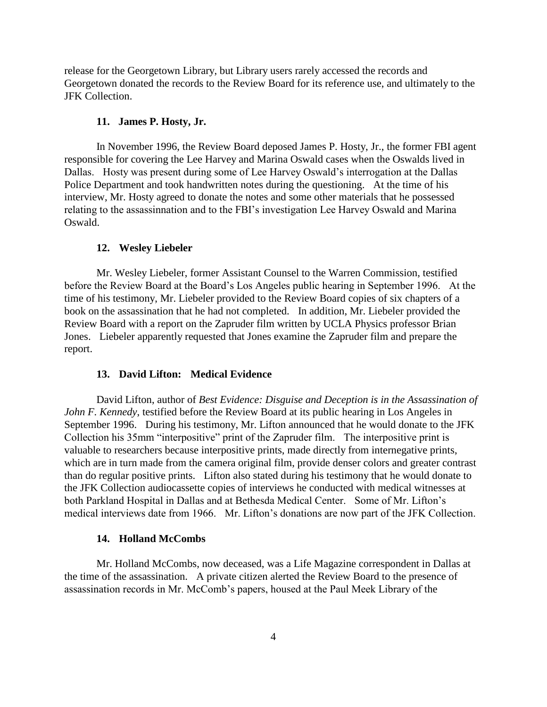release for the Georgetown Library, but Library users rarely accessed the records and Georgetown donated the records to the Review Board for its reference use, and ultimately to the JFK Collection.

#### **11. James P. Hosty, Jr.**

In November 1996, the Review Board deposed James P. Hosty, Jr., the former FBI agent responsible for covering the Lee Harvey and Marina Oswald cases when the Oswalds lived in Dallas. Hosty was present during some of Lee Harvey Oswald's interrogation at the Dallas Police Department and took handwritten notes during the questioning. At the time of his interview, Mr. Hosty agreed to donate the notes and some other materials that he possessed relating to the assassinnation and to the FBI's investigation Lee Harvey Oswald and Marina Oswald.

#### **12. Wesley Liebeler**

Mr. Wesley Liebeler, former Assistant Counsel to the Warren Commission, testified before the Review Board at the Board's Los Angeles public hearing in September 1996. At the time of his testimony, Mr. Liebeler provided to the Review Board copies of six chapters of a book on the assassination that he had not completed. In addition, Mr. Liebeler provided the Review Board with a report on the Zapruder film written by UCLA Physics professor Brian Jones. Liebeler apparently requested that Jones examine the Zapruder film and prepare the report.

#### **13. David Lifton: Medical Evidence**

David Lifton, author of *Best Evidence: Disguise and Deception is in the Assassination of John F. Kennedy*, testified before the Review Board at its public hearing in Los Angeles in September 1996. During his testimony, Mr. Lifton announced that he would donate to the JFK Collection his 35mm "interpositive" print of the Zapruder film. The interpositive print is valuable to researchers because interpositive prints, made directly from internegative prints, which are in turn made from the camera original film, provide denser colors and greater contrast than do regular positive prints. Lifton also stated during his testimony that he would donate to the JFK Collection audiocassette copies of interviews he conducted with medical witnesses at both Parkland Hospital in Dallas and at Bethesda Medical Center. Some of Mr. Lifton's medical interviews date from 1966. Mr. Lifton's donations are now part of the JFK Collection.

#### **14. Holland McCombs**

Mr. Holland McCombs, now deceased, was a Life Magazine correspondent in Dallas at the time of the assassination. A private citizen alerted the Review Board to the presence of assassination records in Mr. McComb's papers, housed at the Paul Meek Library of the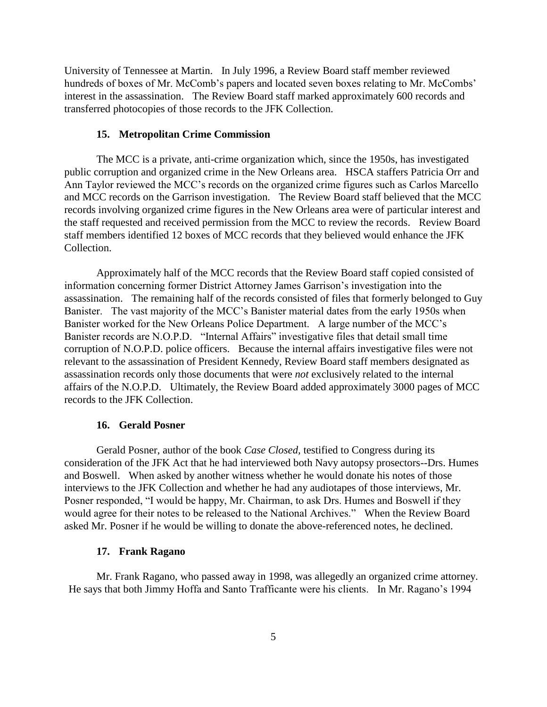University of Tennessee at Martin. In July 1996, a Review Board staff member reviewed hundreds of boxes of Mr. McComb's papers and located seven boxes relating to Mr. McCombs' interest in the assassination. The Review Board staff marked approximately 600 records and transferred photocopies of those records to the JFK Collection.

#### **15. Metropolitan Crime Commission**

The MCC is a private, anti-crime organization which, since the 1950s, has investigated public corruption and organized crime in the New Orleans area. HSCA staffers Patricia Orr and Ann Taylor reviewed the MCC's records on the organized crime figures such as Carlos Marcello and MCC records on the Garrison investigation. The Review Board staff believed that the MCC records involving organized crime figures in the New Orleans area were of particular interest and the staff requested and received permission from the MCC to review the records. Review Board staff members identified 12 boxes of MCC records that they believed would enhance the JFK Collection.

Approximately half of the MCC records that the Review Board staff copied consisted of information concerning former District Attorney James Garrison's investigation into the assassination. The remaining half of the records consisted of files that formerly belonged to Guy Banister. The vast majority of the MCC's Banister material dates from the early 1950s when Banister worked for the New Orleans Police Department. A large number of the MCC's Banister records are N.O.P.D. "Internal Affairs" investigative files that detail small time corruption of N.O.P.D. police officers. Because the internal affairs investigative files were not relevant to the assassination of President Kennedy, Review Board staff members designated as assassination records only those documents that were *not* exclusively related to the internal affairs of the N.O.P.D. Ultimately, the Review Board added approximately 3000 pages of MCC records to the JFK Collection.

#### **16. Gerald Posner**

Gerald Posner, author of the book *Case Closed,* testified to Congress during its consideration of the JFK Act that he had interviewed both Navy autopsy prosectors--Drs. Humes and Boswell. When asked by another witness whether he would donate his notes of those interviews to the JFK Collection and whether he had any audiotapes of those interviews, Mr. Posner responded, "I would be happy, Mr. Chairman, to ask Drs. Humes and Boswell if they would agree for their notes to be released to the National Archives." When the Review Board asked Mr. Posner if he would be willing to donate the above-referenced notes, he declined.

#### **17. Frank Ragano**

Mr. Frank Ragano, who passed away in 1998, was allegedly an organized crime attorney. He says that both Jimmy Hoffa and Santo Trafficante were his clients. In Mr. Ragano's 1994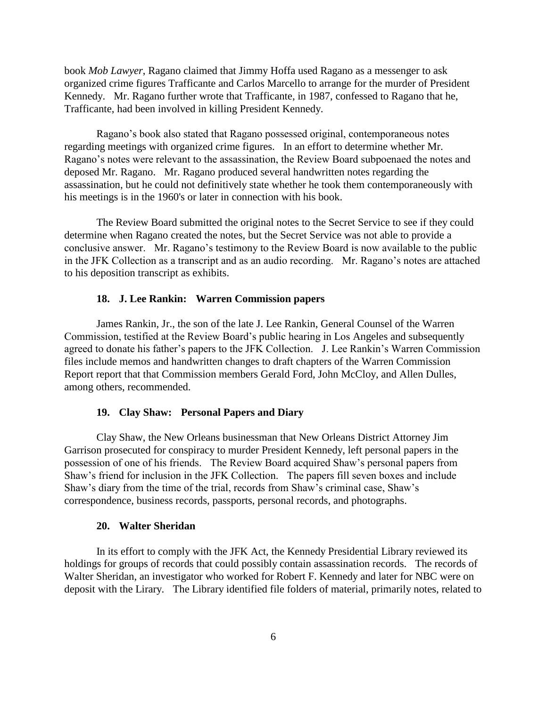book *Mob Lawyer*, Ragano claimed that Jimmy Hoffa used Ragano as a messenger to ask organized crime figures Trafficante and Carlos Marcello to arrange for the murder of President Kennedy. Mr. Ragano further wrote that Trafficante, in 1987, confessed to Ragano that he, Trafficante, had been involved in killing President Kennedy.

Ragano's book also stated that Ragano possessed original, contemporaneous notes regarding meetings with organized crime figures. In an effort to determine whether Mr. Ragano's notes were relevant to the assassination, the Review Board subpoenaed the notes and deposed Mr. Ragano. Mr. Ragano produced several handwritten notes regarding the assassination, but he could not definitively state whether he took them contemporaneously with his meetings is in the 1960's or later in connection with his book.

The Review Board submitted the original notes to the Secret Service to see if they could determine when Ragano created the notes, but the Secret Service was not able to provide a conclusive answer. Mr. Ragano's testimony to the Review Board is now available to the public in the JFK Collection as a transcript and as an audio recording. Mr. Ragano's notes are attached to his deposition transcript as exhibits.

#### **18. J. Lee Rankin: Warren Commission papers**

James Rankin, Jr., the son of the late J. Lee Rankin, General Counsel of the Warren Commission, testified at the Review Board's public hearing in Los Angeles and subsequently agreed to donate his father's papers to the JFK Collection. J. Lee Rankin's Warren Commission files include memos and handwritten changes to draft chapters of the Warren Commission Report report that that Commission members Gerald Ford, John McCloy, and Allen Dulles, among others, recommended.

#### **19. Clay Shaw: Personal Papers and Diary**

Clay Shaw, the New Orleans businessman that New Orleans District Attorney Jim Garrison prosecuted for conspiracy to murder President Kennedy, left personal papers in the possession of one of his friends. The Review Board acquired Shaw's personal papers from Shaw's friend for inclusion in the JFK Collection. The papers fill seven boxes and include Shaw's diary from the time of the trial, records from Shaw's criminal case, Shaw's correspondence, business records, passports, personal records, and photographs.

#### **20. Walter Sheridan**

In its effort to comply with the JFK Act, the Kennedy Presidential Library reviewed its holdings for groups of records that could possibly contain assassination records. The records of Walter Sheridan, an investigator who worked for Robert F. Kennedy and later for NBC were on deposit with the Lirary. The Library identified file folders of material, primarily notes, related to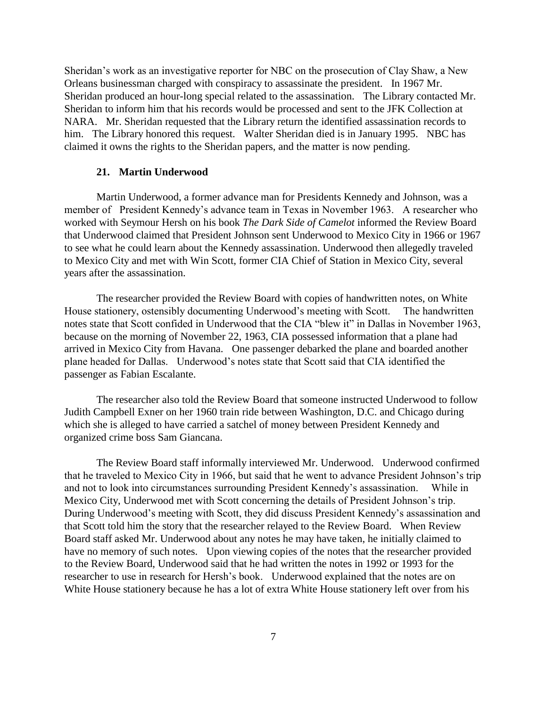Sheridan's work as an investigative reporter for NBC on the prosecution of Clay Shaw, a New Orleans businessman charged with conspiracy to assassinate the president. In 1967 Mr. Sheridan produced an hour-long special related to the assassination. The Library contacted Mr. Sheridan to inform him that his records would be processed and sent to the JFK Collection at NARA. Mr. Sheridan requested that the Library return the identified assassination records to him. The Library honored this request. Walter Sheridan died is in January 1995. NBC has claimed it owns the rights to the Sheridan papers, and the matter is now pending.

#### **21. Martin Underwood**

Martin Underwood, a former advance man for Presidents Kennedy and Johnson, was a member of President Kennedy's advance team in Texas in November 1963. A researcher who worked with Seymour Hersh on his book *The Dark Side of Camelot* informed the Review Board that Underwood claimed that President Johnson sent Underwood to Mexico City in 1966 or 1967 to see what he could learn about the Kennedy assassination. Underwood then allegedly traveled to Mexico City and met with Win Scott, former CIA Chief of Station in Mexico City, several years after the assassination.

The researcher provided the Review Board with copies of handwritten notes, on White House stationery, ostensibly documenting Underwood's meeting with Scott. The handwritten notes state that Scott confided in Underwood that the CIA "blew it" in Dallas in November 1963, because on the morning of November 22, 1963, CIA possessed information that a plane had arrived in Mexico City from Havana. One passenger debarked the plane and boarded another plane headed for Dallas. Underwood's notes state that Scott said that CIA identified the passenger as Fabian Escalante.

The researcher also told the Review Board that someone instructed Underwood to follow Judith Campbell Exner on her 1960 train ride between Washington, D.C. and Chicago during which she is alleged to have carried a satchel of money between President Kennedy and organized crime boss Sam Giancana.

The Review Board staff informally interviewed Mr. Underwood. Underwood confirmed that he traveled to Mexico City in 1966, but said that he went to advance President Johnson's trip and not to look into circumstances surrounding President Kennedy's assassination. While in Mexico City, Underwood met with Scott concerning the details of President Johnson's trip. During Underwood's meeting with Scott, they did discuss President Kennedy's assassination and that Scott told him the story that the researcher relayed to the Review Board. When Review Board staff asked Mr. Underwood about any notes he may have taken, he initially claimed to have no memory of such notes. Upon viewing copies of the notes that the researcher provided to the Review Board, Underwood said that he had written the notes in 1992 or 1993 for the researcher to use in research for Hersh's book. Underwood explained that the notes are on White House stationery because he has a lot of extra White House stationery left over from his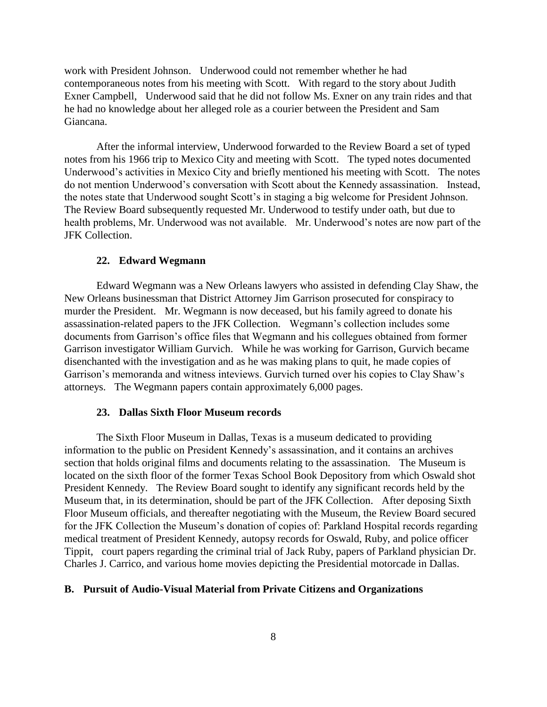work with President Johnson. Underwood could not remember whether he had contemporaneous notes from his meeting with Scott. With regard to the story about Judith Exner Campbell, Underwood said that he did not follow Ms. Exner on any train rides and that he had no knowledge about her alleged role as a courier between the President and Sam Giancana.

After the informal interview, Underwood forwarded to the Review Board a set of typed notes from his 1966 trip to Mexico City and meeting with Scott. The typed notes documented Underwood's activities in Mexico City and briefly mentioned his meeting with Scott. The notes do not mention Underwood's conversation with Scott about the Kennedy assassination. Instead, the notes state that Underwood sought Scott's in staging a big welcome for President Johnson. The Review Board subsequently requested Mr. Underwood to testify under oath, but due to health problems, Mr. Underwood was not available. Mr. Underwood's notes are now part of the JFK Collection.

#### **22. Edward Wegmann**

Edward Wegmann was a New Orleans lawyers who assisted in defending Clay Shaw, the New Orleans businessman that District Attorney Jim Garrison prosecuted for conspiracy to murder the President. Mr. Wegmann is now deceased, but his family agreed to donate his assassination-related papers to the JFK Collection. Wegmann's collection includes some documents from Garrison's office files that Wegmann and his collegues obtained from former Garrison investigator William Gurvich. While he was working for Garrison, Gurvich became disenchanted with the investigation and as he was making plans to quit, he made copies of Garrison's memoranda and witness inteviews. Gurvich turned over his copies to Clay Shaw's attorneys. The Wegmann papers contain approximately 6,000 pages.

### **23. Dallas Sixth Floor Museum records**

The Sixth Floor Museum in Dallas, Texas is a museum dedicated to providing information to the public on President Kennedy's assassination, and it contains an archives section that holds original films and documents relating to the assassination. The Museum is located on the sixth floor of the former Texas School Book Depository from which Oswald shot President Kennedy. The Review Board sought to identify any significant records held by the Museum that, in its determination, should be part of the JFK Collection. After deposing Sixth Floor Museum officials, and thereafter negotiating with the Museum, the Review Board secured for the JFK Collection the Museum's donation of copies of: Parkland Hospital records regarding medical treatment of President Kennedy, autopsy records for Oswald, Ruby, and police officer Tippit, court papers regarding the criminal trial of Jack Ruby, papers of Parkland physician Dr. Charles J. Carrico, and various home movies depicting the Presidential motorcade in Dallas.

#### **B. Pursuit of Audio-Visual Material from Private Citizens and Organizations**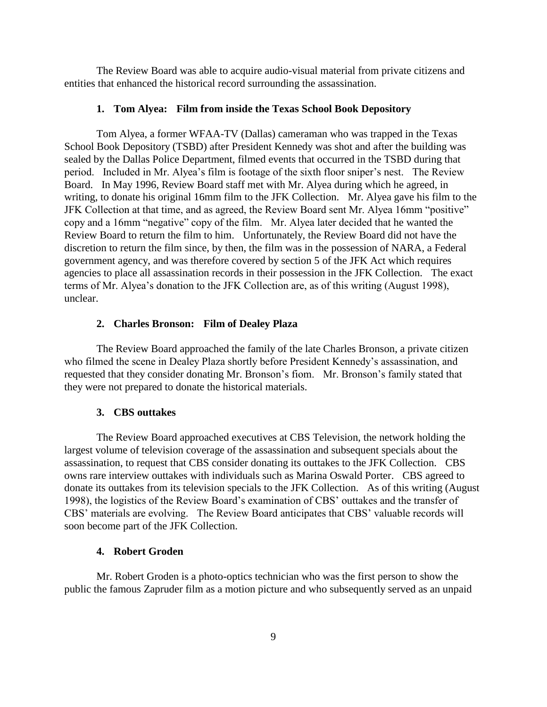The Review Board was able to acquire audio-visual material from private citizens and entities that enhanced the historical record surrounding the assassination.

#### **1. Tom Alyea: Film from inside the Texas School Book Depository**

Tom Alyea, a former WFAA-TV (Dallas) cameraman who was trapped in the Texas School Book Depository (TSBD) after President Kennedy was shot and after the building was sealed by the Dallas Police Department, filmed events that occurred in the TSBD during that period. Included in Mr. Alyea's film is footage of the sixth floor sniper's nest. The Review Board. In May 1996, Review Board staff met with Mr. Alyea during which he agreed, in writing, to donate his original 16mm film to the JFK Collection. Mr. Alyea gave his film to the JFK Collection at that time, and as agreed, the Review Board sent Mr. Alyea 16mm "positive" copy and a 16mm "negative" copy of the film. Mr. Alyea later decided that he wanted the Review Board to return the film to him. Unfortunately, the Review Board did not have the discretion to return the film since, by then, the film was in the possession of NARA, a Federal government agency, and was therefore covered by section 5 of the JFK Act which requires agencies to place all assassination records in their possession in the JFK Collection. The exact terms of Mr. Alyea's donation to the JFK Collection are, as of this writing (August 1998), unclear.

# **2. Charles Bronson: Film of Dealey Plaza**

The Review Board approached the family of the late Charles Bronson, a private citizen who filmed the scene in Dealey Plaza shortly before President Kennedy's assassination, and requested that they consider donating Mr. Bronson's fiom. Mr. Bronson's family stated that they were not prepared to donate the historical materials.

#### **3. CBS outtakes**

The Review Board approached executives at CBS Television, the network holding the largest volume of television coverage of the assassination and subsequent specials about the assassination, to request that CBS consider donating its outtakes to the JFK Collection. CBS owns rare interview outtakes with individuals such as Marina Oswald Porter. CBS agreed to donate its outtakes from its television specials to the JFK Collection. As of this writing (August 1998), the logistics of the Review Board's examination of CBS' outtakes and the transfer of CBS' materials are evolving. The Review Board anticipates that CBS' valuable records will soon become part of the JFK Collection.

# **4. Robert Groden**

Mr. Robert Groden is a photo-optics technician who was the first person to show the public the famous Zapruder film as a motion picture and who subsequently served as an unpaid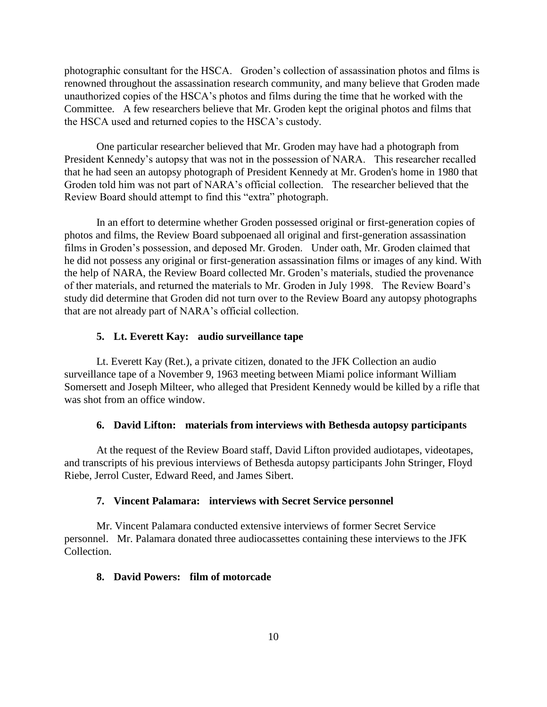photographic consultant for the HSCA. Groden's collection of assassination photos and films is renowned throughout the assassination research community, and many believe that Groden made unauthorized copies of the HSCA's photos and films during the time that he worked with the Committee. A few researchers believe that Mr. Groden kept the original photos and films that the HSCA used and returned copies to the HSCA's custody.

One particular researcher believed that Mr. Groden may have had a photograph from President Kennedy's autopsy that was not in the possession of NARA. This researcher recalled that he had seen an autopsy photograph of President Kennedy at Mr. Groden's home in 1980 that Groden told him was not part of NARA's official collection. The researcher believed that the Review Board should attempt to find this "extra" photograph.

In an effort to determine whether Groden possessed original or first-generation copies of photos and films, the Review Board subpoenaed all original and first-generation assassination films in Groden's possession, and deposed Mr. Groden. Under oath, Mr. Groden claimed that he did not possess any original or first-generation assassination films or images of any kind. With the help of NARA, the Review Board collected Mr. Groden's materials, studied the provenance of ther materials, and returned the materials to Mr. Groden in July 1998. The Review Board's study did determine that Groden did not turn over to the Review Board any autopsy photographs that are not already part of NARA's official collection.

## **5. Lt. Everett Kay: audio surveillance tape**

Lt. Everett Kay (Ret.), a private citizen, donated to the JFK Collection an audio surveillance tape of a November 9, 1963 meeting between Miami police informant William Somersett and Joseph Milteer, who alleged that President Kennedy would be killed by a rifle that was shot from an office window.

#### **6. David Lifton: materials from interviews with Bethesda autopsy participants**

At the request of the Review Board staff, David Lifton provided audiotapes, videotapes, and transcripts of his previous interviews of Bethesda autopsy participants John Stringer, Floyd Riebe, Jerrol Custer, Edward Reed, and James Sibert.

# **7. Vincent Palamara: interviews with Secret Service personnel**

Mr. Vincent Palamara conducted extensive interviews of former Secret Service personnel. Mr. Palamara donated three audiocassettes containing these interviews to the JFK Collection.

# **8. David Powers: film of motorcade**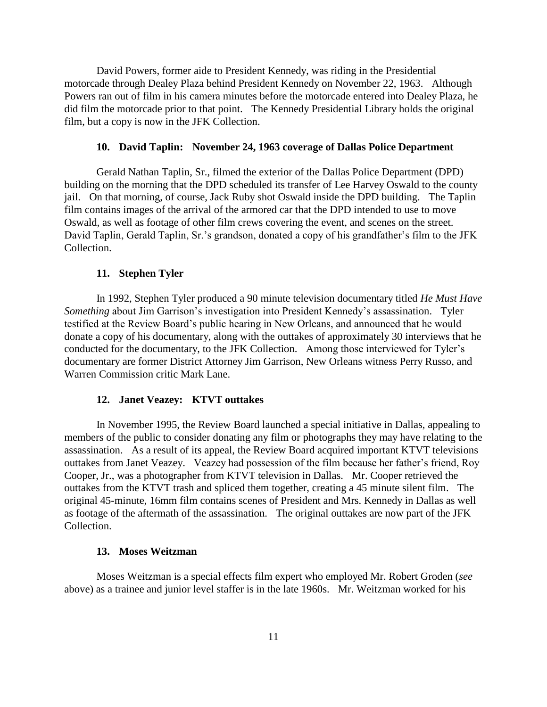David Powers, former aide to President Kennedy, was riding in the Presidential motorcade through Dealey Plaza behind President Kennedy on November 22, 1963. Although Powers ran out of film in his camera minutes before the motorcade entered into Dealey Plaza, he did film the motorcade prior to that point. The Kennedy Presidential Library holds the original film, but a copy is now in the JFK Collection.

# **10. David Taplin: November 24, 1963 coverage of Dallas Police Department**

Gerald Nathan Taplin, Sr., filmed the exterior of the Dallas Police Department (DPD) building on the morning that the DPD scheduled its transfer of Lee Harvey Oswald to the county jail. On that morning, of course, Jack Ruby shot Oswald inside the DPD building. The Taplin film contains images of the arrival of the armored car that the DPD intended to use to move Oswald, as well as footage of other film crews covering the event, and scenes on the street. David Taplin, Gerald Taplin, Sr.'s grandson, donated a copy of his grandfather's film to the JFK Collection.

#### **11. Stephen Tyler**

In 1992, Stephen Tyler produced a 90 minute television documentary titled *He Must Have Something* about Jim Garrison's investigation into President Kennedy's assassination. Tyler testified at the Review Board's public hearing in New Orleans, and announced that he would donate a copy of his documentary, along with the outtakes of approximately 30 interviews that he conducted for the documentary, to the JFK Collection. Among those interviewed for Tyler's documentary are former District Attorney Jim Garrison, New Orleans witness Perry Russo, and Warren Commission critic Mark Lane.

#### **12. Janet Veazey: KTVT outtakes**

In November 1995, the Review Board launched a special initiative in Dallas, appealing to members of the public to consider donating any film or photographs they may have relating to the assassination. As a result of its appeal, the Review Board acquired important KTVT televisions outtakes from Janet Veazey. Veazey had possession of the film because her father's friend, Roy Cooper, Jr., was a photographer from KTVT television in Dallas. Mr. Cooper retrieved the outtakes from the KTVT trash and spliced them together, creating a 45 minute silent film. The original 45-minute, 16mm film contains scenes of President and Mrs. Kennedy in Dallas as well as footage of the aftermath of the assassination. The original outtakes are now part of the JFK Collection.

#### **13. Moses Weitzman**

Moses Weitzman is a special effects film expert who employed Mr. Robert Groden (*see* above) as a trainee and junior level staffer is in the late 1960s. Mr. Weitzman worked for his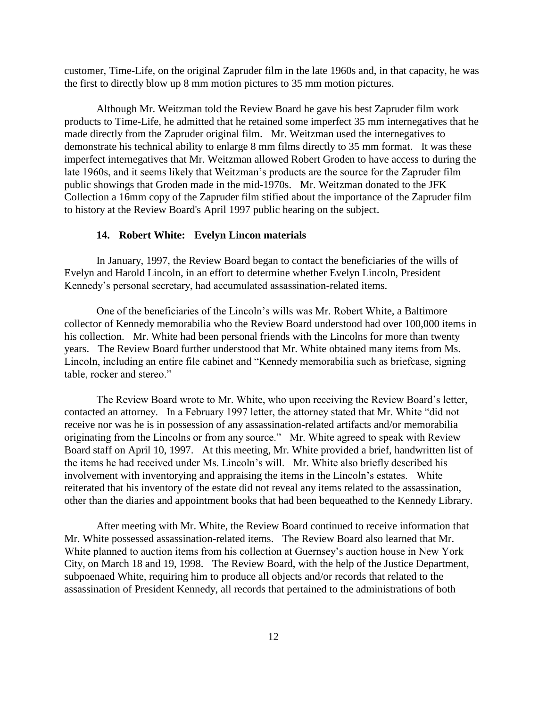customer, Time-Life, on the original Zapruder film in the late 1960s and, in that capacity, he was the first to directly blow up 8 mm motion pictures to 35 mm motion pictures.

Although Mr. Weitzman told the Review Board he gave his best Zapruder film work products to Time-Life, he admitted that he retained some imperfect 35 mm internegatives that he made directly from the Zapruder original film. Mr. Weitzman used the internegatives to demonstrate his technical ability to enlarge 8 mm films directly to 35 mm format. It was these imperfect internegatives that Mr. Weitzman allowed Robert Groden to have access to during the late 1960s, and it seems likely that Weitzman's products are the source for the Zapruder film public showings that Groden made in the mid-1970s. Mr. Weitzman donated to the JFK Collection a 16mm copy of the Zapruder film stified about the importance of the Zapruder film to history at the Review Board's April 1997 public hearing on the subject.

# **14. Robert White: Evelyn Lincon materials**

In January, 1997, the Review Board began to contact the beneficiaries of the wills of Evelyn and Harold Lincoln, in an effort to determine whether Evelyn Lincoln, President Kennedy's personal secretary, had accumulated assassination-related items.

One of the beneficiaries of the Lincoln's wills was Mr. Robert White, a Baltimore collector of Kennedy memorabilia who the Review Board understood had over 100,000 items in his collection. Mr. White had been personal friends with the Lincolns for more than twenty years. The Review Board further understood that Mr. White obtained many items from Ms. Lincoln, including an entire file cabinet and "Kennedy memorabilia such as briefcase, signing table, rocker and stereo."

The Review Board wrote to Mr. White, who upon receiving the Review Board's letter, contacted an attorney. In a February 1997 letter, the attorney stated that Mr. White "did not receive nor was he is in possession of any assassination-related artifacts and/or memorabilia originating from the Lincolns or from any source." Mr. White agreed to speak with Review Board staff on April 10, 1997. At this meeting, Mr. White provided a brief, handwritten list of the items he had received under Ms. Lincoln's will. Mr. White also briefly described his involvement with inventorying and appraising the items in the Lincoln's estates. White reiterated that his inventory of the estate did not reveal any items related to the assassination, other than the diaries and appointment books that had been bequeathed to the Kennedy Library.

After meeting with Mr. White, the Review Board continued to receive information that Mr. White possessed assassination-related items. The Review Board also learned that Mr. White planned to auction items from his collection at Guernsey's auction house in New York City, on March 18 and 19, 1998. The Review Board, with the help of the Justice Department, subpoenaed White, requiring him to produce all objects and/or records that related to the assassination of President Kennedy, all records that pertained to the administrations of both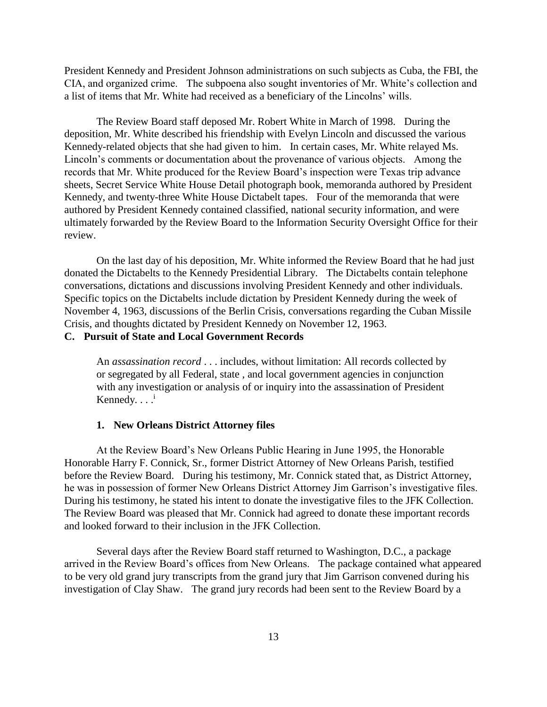President Kennedy and President Johnson administrations on such subjects as Cuba, the FBI, the CIA, and organized crime. The subpoena also sought inventories of Mr. White's collection and a list of items that Mr. White had received as a beneficiary of the Lincolns' wills.

The Review Board staff deposed Mr. Robert White in March of 1998. During the deposition, Mr. White described his friendship with Evelyn Lincoln and discussed the various Kennedy-related objects that she had given to him. In certain cases, Mr. White relayed Ms. Lincoln's comments or documentation about the provenance of various objects. Among the records that Mr. White produced for the Review Board's inspection were Texas trip advance sheets, Secret Service White House Detail photograph book, memoranda authored by President Kennedy, and twenty-three White House Dictabelt tapes. Four of the memoranda that were authored by President Kennedy contained classified, national security information, and were ultimately forwarded by the Review Board to the Information Security Oversight Office for their review.

On the last day of his deposition, Mr. White informed the Review Board that he had just donated the Dictabelts to the Kennedy Presidential Library. The Dictabelts contain telephone conversations, dictations and discussions involving President Kennedy and other individuals. Specific topics on the Dictabelts include dictation by President Kennedy during the week of November 4, 1963, discussions of the Berlin Crisis, conversations regarding the Cuban Missile Crisis, and thoughts dictated by President Kennedy on November 12, 1963.

# **C. Pursuit of State and Local Government Records**

An *assassination record* . . . includes, without limitation: All records collected by or segregated by all Federal, state , and local government agencies in conjunction with any investigation or analysis of or inquiry into the assassination of President Kennedy.  $\ldots$ <sup>i</sup>

#### **1. New Orleans District Attorney files**

At the Review Board's New Orleans Public Hearing in June 1995, the Honorable Honorable Harry F. Connick, Sr., former District Attorney of New Orleans Parish, testified before the Review Board. During his testimony, Mr. Connick stated that, as District Attorney, he was in possession of former New Orleans District Attorney Jim Garrison's investigative files. During his testimony, he stated his intent to donate the investigative files to the JFK Collection. The Review Board was pleased that Mr. Connick had agreed to donate these important records and looked forward to their inclusion in the JFK Collection.

Several days after the Review Board staff returned to Washington, D.C., a package arrived in the Review Board's offices from New Orleans. The package contained what appeared to be very old grand jury transcripts from the grand jury that Jim Garrison convened during his investigation of Clay Shaw. The grand jury records had been sent to the Review Board by a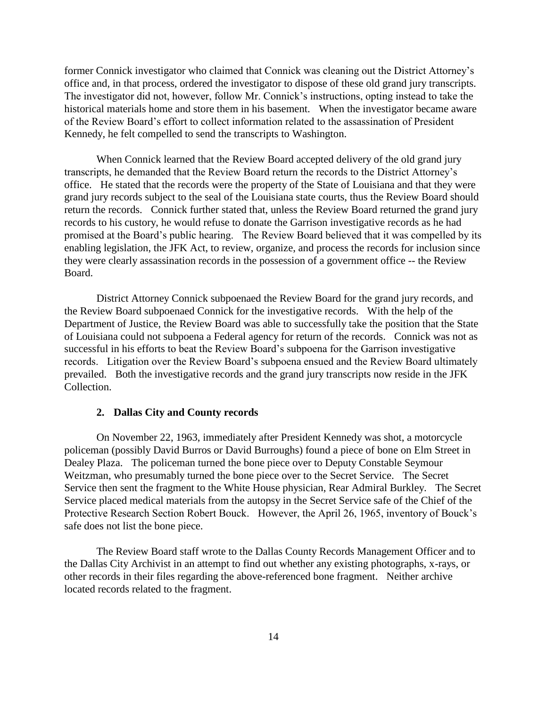former Connick investigator who claimed that Connick was cleaning out the District Attorney's office and, in that process, ordered the investigator to dispose of these old grand jury transcripts. The investigator did not, however, follow Mr. Connick's instructions, opting instead to take the historical materials home and store them in his basement. When the investigator became aware of the Review Board's effort to collect information related to the assassination of President Kennedy, he felt compelled to send the transcripts to Washington.

When Connick learned that the Review Board accepted delivery of the old grand jury transcripts, he demanded that the Review Board return the records to the District Attorney's office. He stated that the records were the property of the State of Louisiana and that they were grand jury records subject to the seal of the Louisiana state courts, thus the Review Board should return the records. Connick further stated that, unless the Review Board returned the grand jury records to his custory, he would refuse to donate the Garrison investigative records as he had promised at the Board's public hearing. The Review Board believed that it was compelled by its enabling legislation, the JFK Act, to review, organize, and process the records for inclusion since they were clearly assassination records in the possession of a government office -- the Review Board.

District Attorney Connick subpoenaed the Review Board for the grand jury records, and the Review Board subpoenaed Connick for the investigative records. With the help of the Department of Justice, the Review Board was able to successfully take the position that the State of Louisiana could not subpoena a Federal agency for return of the records. Connick was not as successful in his efforts to beat the Review Board's subpoena for the Garrison investigative records. Litigation over the Review Board's subpoena ensued and the Review Board ultimately prevailed. Both the investigative records and the grand jury transcripts now reside in the JFK Collection.

#### **2. Dallas City and County records**

On November 22, 1963, immediately after President Kennedy was shot, a motorcycle policeman (possibly David Burros or David Burroughs) found a piece of bone on Elm Street in Dealey Plaza. The policeman turned the bone piece over to Deputy Constable Seymour Weitzman, who presumably turned the bone piece over to the Secret Service. The Secret Service then sent the fragment to the White House physician, Rear Admiral Burkley. The Secret Service placed medical materials from the autopsy in the Secret Service safe of the Chief of the Protective Research Section Robert Bouck. However, the April 26, 1965, inventory of Bouck's safe does not list the bone piece.

The Review Board staff wrote to the Dallas County Records Management Officer and to the Dallas City Archivist in an attempt to find out whether any existing photographs, x-rays, or other records in their files regarding the above-referenced bone fragment. Neither archive located records related to the fragment.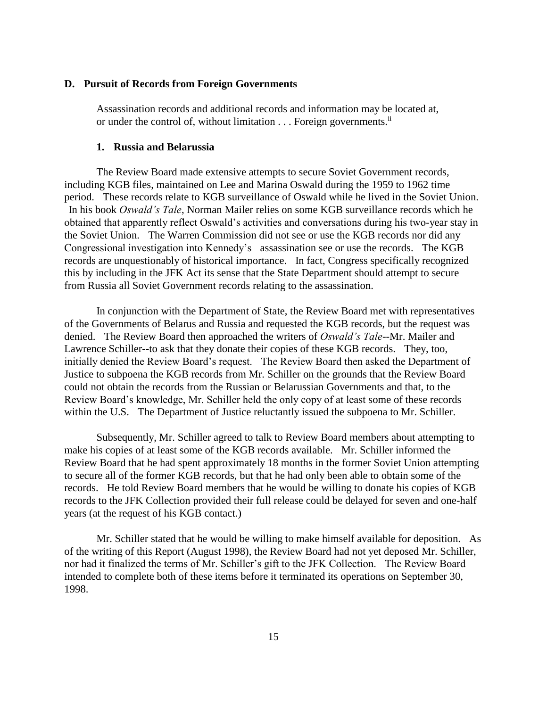#### **D. Pursuit of Records from Foreign Governments**

Assassination records and additional records and information may be located at, or under the control of, without limitation . . . Foreign governments.<sup>ii</sup>

## **1. Russia and Belarussia**

The Review Board made extensive attempts to secure Soviet Government records, including KGB files, maintained on Lee and Marina Oswald during the 1959 to 1962 time period. These records relate to KGB surveillance of Oswald while he lived in the Soviet Union. In his book *Oswald's Tale*, Norman Mailer relies on some KGB surveillance records which he obtained that apparently reflect Oswald's activities and conversations during his two-year stay in the Soviet Union. The Warren Commission did not see or use the KGB records nor did any Congressional investigation into Kennedy's assassination see or use the records. The KGB records are unquestionably of historical importance. In fact, Congress specifically recognized this by including in the JFK Act its sense that the State Department should attempt to secure from Russia all Soviet Government records relating to the assassination.

In conjunction with the Department of State, the Review Board met with representatives of the Governments of Belarus and Russia and requested the KGB records, but the request was denied. The Review Board then approached the writers of *Oswald's Tale*--Mr. Mailer and Lawrence Schiller--to ask that they donate their copies of these KGB records. They, too, initially denied the Review Board's request. The Review Board then asked the Department of Justice to subpoena the KGB records from Mr. Schiller on the grounds that the Review Board could not obtain the records from the Russian or Belarussian Governments and that, to the Review Board's knowledge, Mr. Schiller held the only copy of at least some of these records within the U.S. The Department of Justice reluctantly issued the subpoena to Mr. Schiller.

Subsequently, Mr. Schiller agreed to talk to Review Board members about attempting to make his copies of at least some of the KGB records available. Mr. Schiller informed the Review Board that he had spent approximately 18 months in the former Soviet Union attempting to secure all of the former KGB records, but that he had only been able to obtain some of the records. He told Review Board members that he would be willing to donate his copies of KGB records to the JFK Collection provided their full release could be delayed for seven and one-half years (at the request of his KGB contact.)

Mr. Schiller stated that he would be willing to make himself available for deposition. As of the writing of this Report (August 1998), the Review Board had not yet deposed Mr. Schiller, nor had it finalized the terms of Mr. Schiller's gift to the JFK Collection. The Review Board intended to complete both of these items before it terminated its operations on September 30, 1998.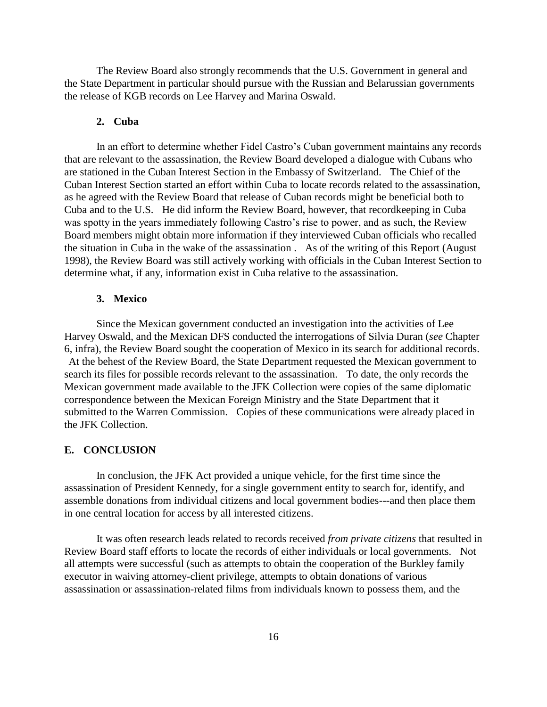The Review Board also strongly recommends that the U.S. Government in general and the State Department in particular should pursue with the Russian and Belarussian governments the release of KGB records on Lee Harvey and Marina Oswald.

#### **2. Cuba**

In an effort to determine whether Fidel Castro's Cuban government maintains any records that are relevant to the assassination, the Review Board developed a dialogue with Cubans who are stationed in the Cuban Interest Section in the Embassy of Switzerland. The Chief of the Cuban Interest Section started an effort within Cuba to locate records related to the assassination, as he agreed with the Review Board that release of Cuban records might be beneficial both to Cuba and to the U.S. He did inform the Review Board, however, that recordkeeping in Cuba was spotty in the years immediately following Castro's rise to power, and as such, the Review Board members might obtain more information if they interviewed Cuban officials who recalled the situation in Cuba in the wake of the assassination . As of the writing of this Report (August 1998), the Review Board was still actively working with officials in the Cuban Interest Section to determine what, if any, information exist in Cuba relative to the assassination.

#### **3. Mexico**

Since the Mexican government conducted an investigation into the activities of Lee Harvey Oswald, and the Mexican DFS conducted the interrogations of Silvia Duran (*see* Chapter 6, infra), the Review Board sought the cooperation of Mexico in its search for additional records. At the behest of the Review Board, the State Department requested the Mexican government to

search its files for possible records relevant to the assassination. To date, the only records the Mexican government made available to the JFK Collection were copies of the same diplomatic correspondence between the Mexican Foreign Ministry and the State Department that it submitted to the Warren Commission. Copies of these communications were already placed in the JFK Collection.

# **E. CONCLUSION**

In conclusion, the JFK Act provided a unique vehicle, for the first time since the assassination of President Kennedy, for a single government entity to search for, identify, and assemble donations from individual citizens and local government bodies---and then place them in one central location for access by all interested citizens.

It was often research leads related to records received *from private citizens* that resulted in Review Board staff efforts to locate the records of either individuals or local governments. Not all attempts were successful (such as attempts to obtain the cooperation of the Burkley family executor in waiving attorney-client privilege, attempts to obtain donations of various assassination or assassination-related films from individuals known to possess them, and the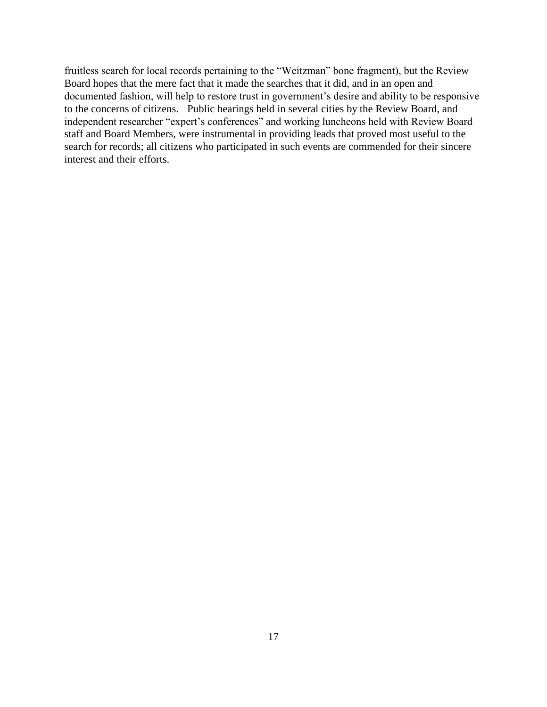fruitless search for local records pertaining to the "Weitzman" bone fragment), but the Review Board hopes that the mere fact that it made the searches that it did, and in an open and documented fashion, will help to restore trust in government's desire and ability to be responsive to the concerns of citizens. Public hearings held in several cities by the Review Board, and independent researcher "expert's conferences" and working luncheons held with Review Board staff and Board Members, were instrumental in providing leads that proved most useful to the search for records; all citizens who participated in such events are commended for their sincere interest and their efforts.